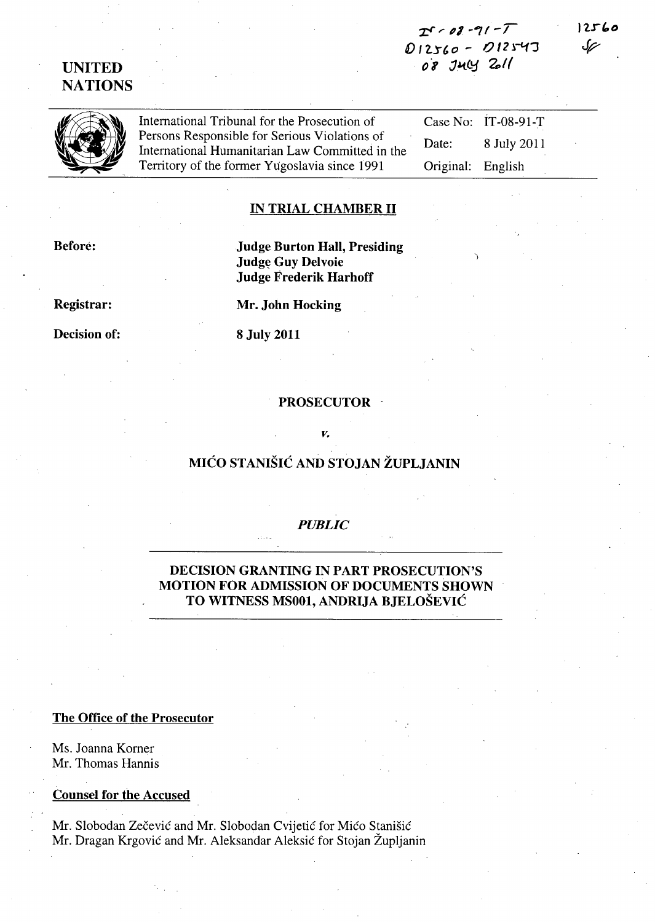# *x:r* ~ *pI* ~~/-r  $D 12560 - 012543$ 08 JULY 2011

')

UNITED **NATIONS** 

| $\mathscr{G}$ | International Tribunal for the Prosecution of                                                    |                   | Case No: $IT-08-91-T$ |  |
|---------------|--------------------------------------------------------------------------------------------------|-------------------|-----------------------|--|
|               | Persons Responsible for Serious Violations of<br>International Humanitarian Law Committed in the | Date:             | 8 July 2011           |  |
|               | Territory of the former Yugoslavia since 1991                                                    | Original: English |                       |  |

# IN TRIAL CHAMBER 11

Before:

Judge Burton Hall, Presiding Judge Guy Delvoie Judge Frederik Harhoff

Mr. John Hocking

8 July 2011

Registrar:

Decision of:

# PROSECUTOR ·

# MICO STANISIC AND STOJAN ZUPLJANIN

*v.* 

# *PUBLIC*

DECISION GRANTING IN PART PROSECUTION'S MOTION FOR ADMISSION OF DOCUMENTS SHOWN TO WITNESS MSOOl, ANDRIJA BJELOSEVIC

#### The Office of the Prosecutor

Ms. Joanna Korner Mr. Thomas Hannis

Counsel for the Accused

Mr. Slobodan Zečević and Mr. Slobodan Cvijetić for Mićo Stanišić Mr. Dragan Krgovic and Mr. Aleksandar Aleksic for Stojan Zupljanin



 $12560$ حرك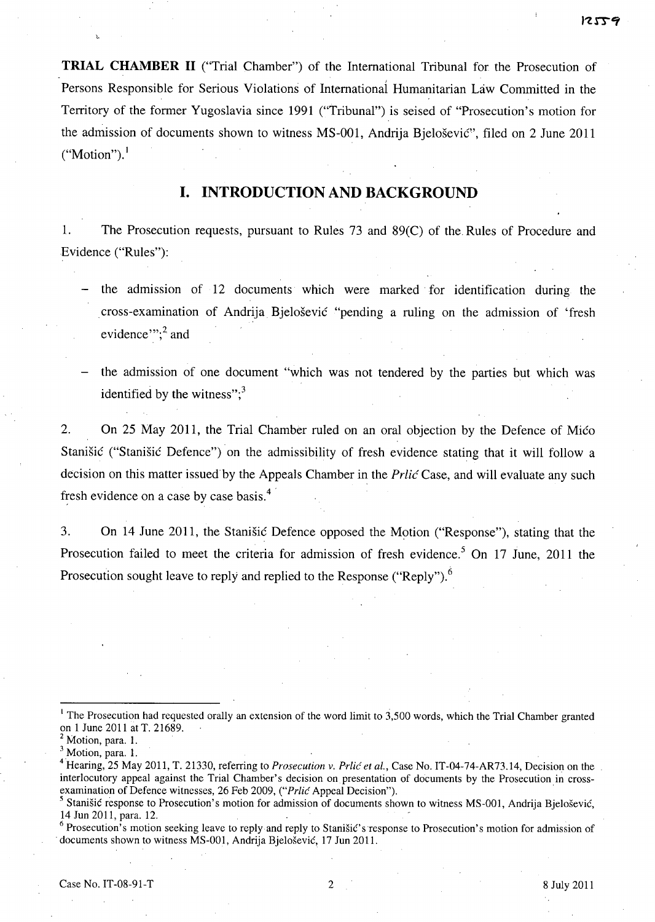**TRIAL CHAMBER 11** ("Trial Chamber") of the International Tribunal for the Prosecution of Persons Responsible for Serious Violations of Internationai Humanitarian Law Committed in the Territory of the former Yugoslavia since 1991 ("Tribunal") is seised of "Prosecution's motion for the admission of documents shown to witness MS-OOl, Andrija Bjelosevic", filed on 2 June 2011  $("Motion").$ <sup>1</sup>

# **I. INTRODUCTION AND BACKGROUND**

1. The Prosecution requests, pursuant to Rules 73 and 89(C) of the. Rules of Procedure and Evidence ("Rules"):

- the admission of 12 documents which were marked for identification during the cross-examination of Andrija Bjelosevic "pending a ruling on the admission of 'fresh evidence"; $^{2}$  and
- the admission of one document "which was not tendered by the parties but which was identified by the witness": $3$

2. On 25 May 2011, the Trial Chamber ruled on an oral objection by the Defence of Mico Stanisic ("Stanisic Defence") on the admissibility of fresh evidence stating that it will follow a decision on this matter issued by the Appeals Chamber in the *Prlic* Case, and will evaluate any such fresh evidence on a case by case basis.<sup>4</sup>

3. On 14 June 2011, the Stanisic Defence opposed the Motion ("Response"), stating that the Prosecution failed to meet the criteria for admission of fresh evidence.<sup>5</sup> On 17 June, 2011 the Prosecution sought leave to reply and replied to the Response ("Reply").<sup>6</sup>

<sup>&</sup>lt;sup>1</sup> The Prosecution had requested orally an extension of the word limit to 3,500 words, which the Trial Chamber granted on 1 June 2011 at T. 21689.

 $<sup>2</sup>$  Motion, para. 1.</sup>

<sup>&</sup>lt;sup>3</sup> Motion, para. 1.

<sup>&</sup>lt;sup>4</sup> Hearing, 25 May 2011, T. 21330, referring to *Prosecution v. Prlić et al.*, Case No. IT-04-74-AR73.14, Decision on the interlocutory appeal against the Trial Chamber's decision on presentation of documents by the Prosecution in crossexamination of Defence witnesses, 26 Feb 2009, *("Prlic Appeal Decision")*. <sup>3</sup> Motion, para. 1.<br><sup>3</sup> Motion, para. 1.<br><sup>4</sup> Hearing, 25 May 2011, T. 21330, referring to *Prosecution v. Prlić et al.*, Case No. IT-04-74-AR73.14, Decision on the<br>interlocutory appeal against the Trial Chamber's decision

<sup>&</sup>lt;sup>5</sup> Stanišić response to Prosecution's motion for admission of documents shown to witness MS-001, Andrija Bjelošević, 14 Jun 2011, para, 12.

<sup>.</sup> documents shown to witness MS-OOl, Andrija Bjelosevic, 17 Jun 2011.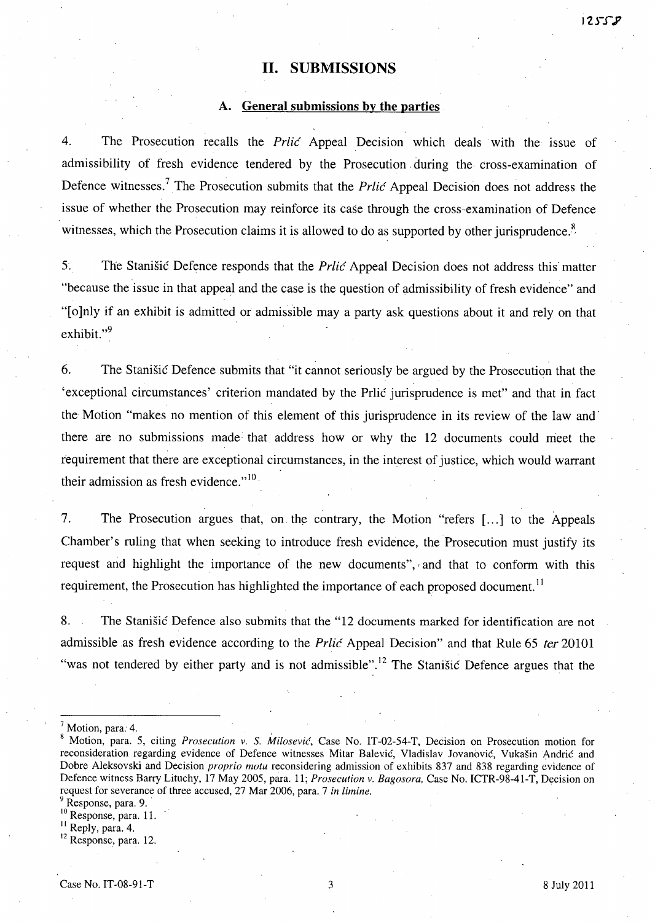# **11. SUBMISSIONS**

#### **A. General submissions by the parties**

4. The Prosecution recalls the *Prlic* Appeal Decision which deals with the issue of admissibility of fresh evidence tendered by the Prosecution, during the cross-examination of Defence witnesses.<sup>7</sup> The Prosecution submits that the *Prlic Appeal Decision does not address the* issue of whether the Prosecution may reinforce its case through the cross-examination of Defence witnesses, which the Prosecution claims it is allowed to do as supported by other jurisprudence.<sup>8</sup>

5. The Stanisic Defence responds that the *Prlic* Appeal Decision does not address this' matter "because the issue in that appeal and the case is the question of admissibility of fresh evidence" and "[o]nly if an exhibit is admitted or admissible may a party ask questions about it and rely on that exhibit."<sup>9</sup>

6. The Stanisic Defence submits that "it cannot seriously be argued by the Prosecution that the 'exceptional circumstances' criterion mandated by the Prlic jurisprudence is met" and that in fact the Motion "makes no mention of this element of this jurisprudence in its review of the law and' there are no submissions made that address how or why the 12 documents could meet the requirement that there are exceptional circumstances, in the interest of justice, which would warrant their admission as fresh evidence."<sup>10</sup>

7. The Prosecution argues that, on the contrary, the Motion "refers [...] to the Appeals Chamber's ruling that when seeking to introduce fresh evidence, the Prosecution must justify its request and highlight the importance of the new documents", *r* and that to conform with this requirement, the Prosecution has highlighted the importance of each proposed document.<sup>11</sup>

8. The Stanisic Defence also submits that the "12 documents marked for identification are not admissible as fresh evidence according to the *Prlic* Appeal Decision" and that Rule 65 fer *20101*  "was not tendered by either party and is not admissible".<sup>12</sup> The Stanišić Defence argues that the

 $<sup>7</sup>$  Motion, para. 4.</sup>

<sup>&</sup>lt;sup>8</sup> Motion, para. 5, citing *Prosecution v. S. Milosević*, Case No. IT-02-54-T, Decision on Prosecution motion for reconsideration regarding evidence of Defence witnesses Mitar Balevic, Vladislav Jovanovic, Vukasin Andric and Dobre Aleksovski and Decision *proprio motu* reconsidering admission of exhibits 837 and 838 regarding evidence of Defence witness Barry Lituchy, 17 May 2005, para. 11; *Prosecution* v. *Bagosora,* Case No. ICTR-98-41-T, Decision on request for severance of three accused, 27 Mar 2006, para. 7 *in limine.* 

<sup>&</sup>lt;sup>9</sup> Response, para. 9.

<sup>&</sup>lt;sup>10</sup> Response, para. 11.

<sup>&</sup>lt;sup>11</sup> Reply, para. 4.

<sup>&</sup>lt;sup>12</sup> Response, para. 12.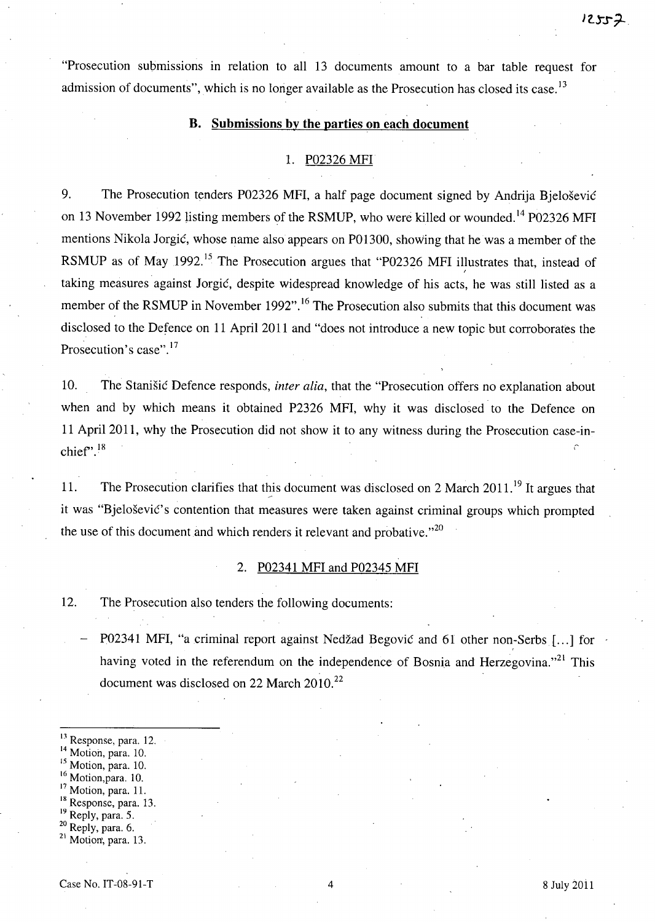"Prosecution submissions in relation to all 13 documents amount to a bar table request for admission of documents", which is no longer available as the Prosecution has closed its case.  $13$ 

## **B. Submissions by the parties on each document**

#### 1. P02326 MFI

9. The Prosecution tenders P02326 MFI, a half page document signed by Andrija Bjelošević on 13 November 1992 listing members of the RSMUP, who were killed or wounded.<sup>14</sup> P02326 MFI mentions Nikola Jorgic, whose name also appears on P01300, showing that he was a member of the RSMUP as of May 1992.<sup>15</sup> The Prosecution argues that "P02326 MFI illustrates that, instead of taking measures against Jorgic, despite widespread knowledge of his acts, he was still listed as a member of the RSMUP in November 1992".<sup>16</sup> The Prosecution also submits that this document was disclosed to the Defence on 11 April 2011 and "does not introduce a new topic but corroborates the Prosecution's case".<sup>17</sup>

10. The Stanisic Defence responds, *inter alia,* that the "Prosecution offers no explanation about when and by which means it obtained P2326 MFI, why it was disclosed to the Defence on 11 April 2011, why the Prosecution did not show it to any witness during the Prosecution case-inchief".<sup>18</sup>

11. The Prosecution clarifies that this document was disclosed on 2 March  $2011$ .<sup>19</sup> It argues that it was "Bielošević's contention that measures were taken against criminal groups which prompted the use of this document and which renders it relevant and probative.<sup> $20$ </sup>

# 2. P02341 MFI and P02345 MFI

12. The Prosecution also tenders the following documents:

P02341 MFI, "a criminal report against Nedžad Begović and 61 other non-Serbs [...] for having voted in the referendum on the independence of Bosnia and Herzegovina.<sup>121</sup> This document was disclosed on 22 March 2010.<sup>22</sup>

<sup>13</sup> Response, para. 12.

<sup>14</sup> Motion, para. 10.

<sup>15</sup> Motion, para. 10.

<sup>16</sup> Motion,para. 10.

<sup>17</sup> Motion, para. 11.

<sup>18</sup> Response, para. 13.

<sup>19</sup> Reply, para. 5.

20 Reply, para. 6.

 $21$  Motion, para. 13.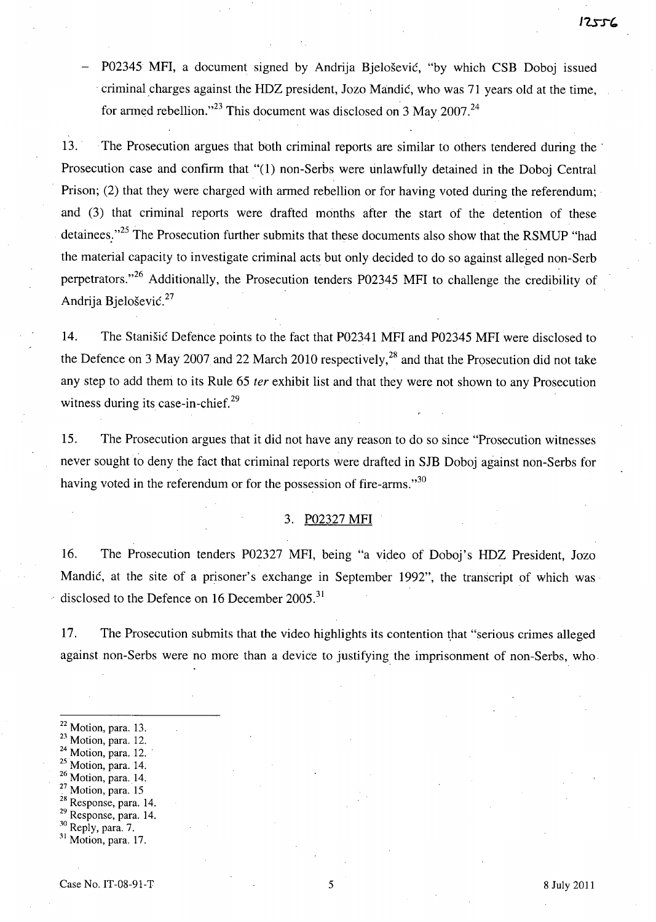P02345 MFI, a document signed by Andrija Bjelošević, "by which CSB Doboj issued . criminal charges against the HDZ president, Jozo Mandic, who was 71 years old at the time, for armed rebellion."<sup>23</sup> This document was disclosed on 3 May 2007.<sup>24</sup>

13. The Prosecution argues that both criminal reports are similar to others tendered during the' Prosecution case and confirm that "(1) non-Serbs were unlawfully detained in the Doboj Central Prison; (2) that they were charged with armed rebellion or for having voted during the referendum; and (3) that criminal reports were drafted months after the start of the detention of these detainees."<sup>25</sup> The Prosecution further submits that these documents also show that the RSMUP "had the material capacity to investigate criminal acts but only decided to do so against alleged non-Serb perpetrators."<sup>26</sup> Additionally, the Prosecution tenders P02345 MFI to challenge the credibility of Andrija Bjelošević.<sup>27</sup>

14. The Stanisic Defence points to the fact that P02341 MFI and P02345 MFI were disclosed to the Defence on 3 May 2007 and 22 March 2010 respectively,<sup>28</sup> and that the Prosecution did not take any step to add them to its Rule 65 *ter* exhibit list and that they were not shown to any Prosecution witness during its case-in-chief.<sup>29</sup>

15. The Prosecution argues that it did not have any reason to do so since "Prosecution witnesses never sought to deny the fact that criminal reports were drafted in SJB Doboj against non-Serbs for having voted in the referendum or for the possession of fire-arms." $30$ 

## 3. P02327 MFI

16. The Prosecution tenders P02327 MFI, being "a video of Doboj's HDZ President, Jozo Mandic, at the site of a prisoner's exchange in September 1992", the transcript of which was disclosed to the Defence on 16 December 2005.<sup>31</sup>

17. The Prosecution submits that the video highlights its contention that "serious crimes alleged against non-Serbs were no more than a device to justifying the imprisonment of non-Serbs, who.

- 22 Motion, para. 13.
- <sup>23</sup> Motion, para. 12.
- $24$  Motion, para. 12.
- 25 Motion, para. 14.
- 26 Motion, para. 14.
- <sup>27</sup> Motion, para. 15
- <sup>28</sup> Response, para. 14. 29 Response, para. 14.
- 30 Reply, para. 7.
- $31$  Motion, para. 17.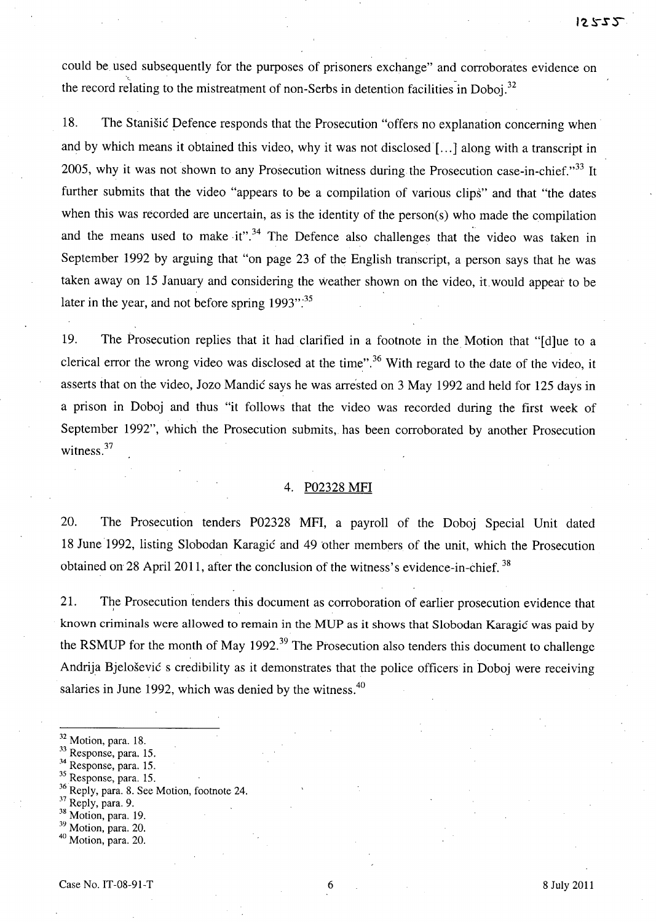could be used subsequently for the purposes of prisoners exchange" and corroborates evidence on the record relating to the mistreatment of non-Serbs in detention facilities in Doboj.<sup>32</sup>

18. The Stanisic Defence responds that the Prosecution "offers no explanation concerning when and by which means it obtained this video, why it was not disclosed [ ... ] along with a transcript in 2005, why it was not shown to any Prosecution witness during the Prosecution case-in-chief. $33$  It further submits that the video "appears to be a compilation of various clips" and that "the dates when this was recorded are uncertain, as is the identity of the person(s) who made the compilation and the means used to make it".<sup>34</sup> The Defence also challenges that the video was taken in September 1992 by arguing that "on page 23 of the English transcript, a person says that he was taken away on 15 January and considering the Weather shown on the video, it.would appear to be later in the year, and not before spring  $1993$ ".<sup>35</sup>

19. The Prosecution replies that it had clarified in a footnote in the Motion that "[d]ue to a clerical error the wrong video was disclosed at the time".<sup>36</sup> With regard to the date of the video, it asserts that on the video, Jozo Mandic says he was arrested on 3 May 1992 and held for 125 days in a prison in Doboj and thus "it follows that the video was recorded during the first week of September 1992", which the Prosecution submits, has been corroborated by another Prosecution witness.<sup>37</sup>

#### 4. P02328 MFI

20. The Prosecution tenders P02328 MFI, a payroll of the Doboj Special Unit dated 18 June 1992, listing Slobodan Karagić and 49 other members of the unit, which the Prosecution obtained on 28 April 2011, after the conclusion of the witness's evidence-in-chief.<sup>38</sup>

21. The Prosecution tenders this document as corroboration of earlier prosecution evidence that known criminals were allowed to remain in the MUP as it shows that Slobodan Karagic was paid by the RSMUP for the month of May 1992.<sup>39</sup> The Prosecution also tenders this document to challenge Andrija Bjelosevic s credibility as it demonstrates that the police officers in Doboj were receiving salaries in June 1992, which was denied by the witness. $40$ 

- $32$  Motion, para. 18.
- 33 Response, para. 15.
- 34 Response, para. 15.
- 35 Response, para. 15.
- <sup>36</sup> Reply, para. 8. See Motion, footnote 24.
- 37 Reply, para. 9.
- 38 Motion, para. 19.
- <sup>39</sup> Motion, para. 20.
- <sup>40</sup> Motion, para. 20.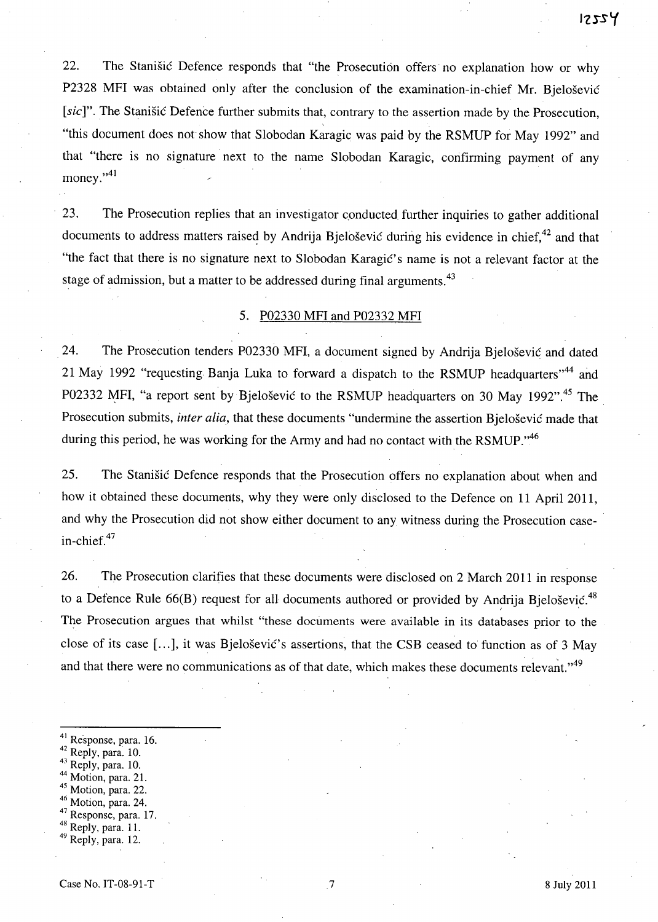22. The Stanisic Defence responds that "the Prosecution offers' no explanation how or why P2328 MFI was obtained only after the conclusion of the examination-in-chief Mr. Bielošević [sic]". The Stanisic Defence further submits that, contrary to the assertion made by the Prosecution, "this document does not show that Slobodan Karagic was paid by the RSMUP for May 1992" and that "there is no signature next to the name Slobodan Karagic, confirming payment of any money." $41$ 

23. The Prosecution replies that an investigator conducted further inquiries to gather additional documents to address matters raised by Andrija Bjeloševic during his evidence in chief,  $42$  and that "the fact that there is no signature next to Slobodan Karagić's name is not a relevant factor at the stage of admission, but a matter to be addressed during final arguments.<sup>43</sup>

#### 5. P02330 MFI and P02332 MFI

24. The Prosecution tenders P02330 MFI, a document signed by Andrija Bjelosevic and dated 21 May 1992 "requesting Banja Luka to forward a dispatch to the RSMUP headquarters<sup>144</sup> and P02332 MFI, "a report sent by Bjeloševic to the RSMUP headquarters on 30 May 1992".<sup>45</sup> The Prosecution submits, *inter alia*, that these documents "undermine the assertion Bjelošević made that during this period, he was working for the Army and had no contact with the RSMUP.<sup> $,46$ </sup>

25. The Stanisic Defence responds that the Prosecution offers no explanation about when and how it obtained these documents, why they were only disclosed to the Defence on 11 April 2011, and why the Prosecution did not show either document to any witness during the Prosecution casein-chief. 47

26. The Prosecution clarifies that these documents were disclosed on 2 March 2011 in response to a Defence Rule  $66(B)$  request for all documents authored or provided by Andrija Bjelošević.<sup>48</sup> The Prosecution argues that whilst "these documents were available in its databases prior to the close of its case [...], it was Bjelošević's assertions, that the CSB ceased to function as of 3 May and that there were no communications as of that date, which makes these documents relevant." $49$ 

- $41$  Response, para. 16.<br> $42$  Reply, para. 10.
- 
- 43 Reply, para. 10.
- Motion, para. 21.
- 45 Motion, para. 22.
- $46$  Motion, para. 24.
- 47 Response, para. 17.
- 48 Reply, para. 11.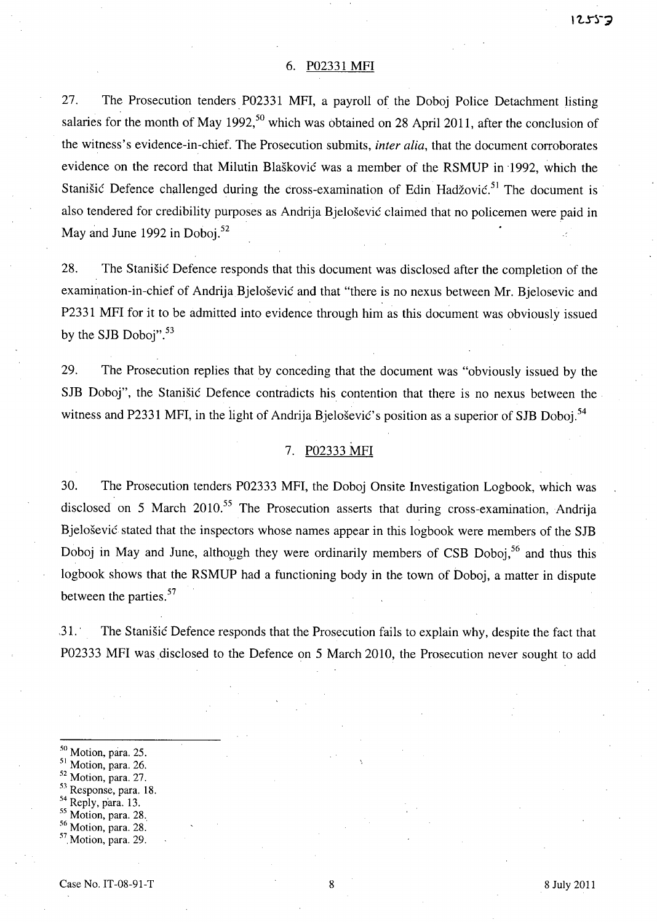#### 6. P02331 MFI

27. The Prosecution tenders, P02331 MFI, a payroll of the Doboj Police Detachment listing salaries for the month of May 1992,<sup>50</sup> which was obtained on 28 April 2011, after the conclusion of the witness's evidence-in-chief. The Prosecution submits, *inter alia,* that the document corroborates evidence on the record that Milutin Blaskovic was a member of the RSMUP in ·1992, which the Stanišić Defence challenged during the cross-examination of Edin Hadžović.<sup>51</sup> The document is also tendered for credibility purposes as Andrija Bjelosevic claimed that no policemen were paid in May and June 1992 in Doboj.<sup>52</sup>

28. The Stanisic Defence responds that this document was disclosed after the completion of the examination-in-chief of Andrija Bjelošević and that "there is no nexus between Mr. Bjelosevic and P2331 MFI for it to be admitted into evidence through him as this document was obviously issued by the SJB Doboj".<sup>53</sup>

29. The Prosecution replies that by conceding that the document was "obviously issued by the SJB Doboj", the Stanisic Defence contradicts his contention that there is no nexus between the witness and P2331 MFI, in the light of Andrija Bjelošević's position as a superior of SJB Doboj.<sup>54</sup>

#### 7. P02333 MFI

30. The Prosecution tenders P02333 MFI, the Doboj Onsite Investigation Logbook, which was disclosed on 5 March  $2010^{55}$  The Prosecution asserts that during cross-examination, Andrija Bjelošević stated that the inspectors whose names appear in this logbook were members of the SJB Doboj in May and June, although they were ordinarily members of CSB Doboi,  $56$  and thus this logbook shows that the RSMUP had a functioning body in the town of Doboj, a matter in dispute between the parties. 57

,31. ' The Stanisic Defence responds that the Prosecution fails to explain why, despite the fact that P02333 MFI was disclosed to the Defence on 5 March 2010, the Prosecution never sought to add

- 50 Motion, para. 25.
- <sup>51</sup> Motion, para. 26.
- 52 Motion, para. 27.
- 53 Response, para. 18.
- <sup>54</sup> Reply, para. 13.
- 55 Motion, para. 28.,
- 56 Motion, para. 28.
- $<sup>57</sup>$  Motion, para. 29.</sup>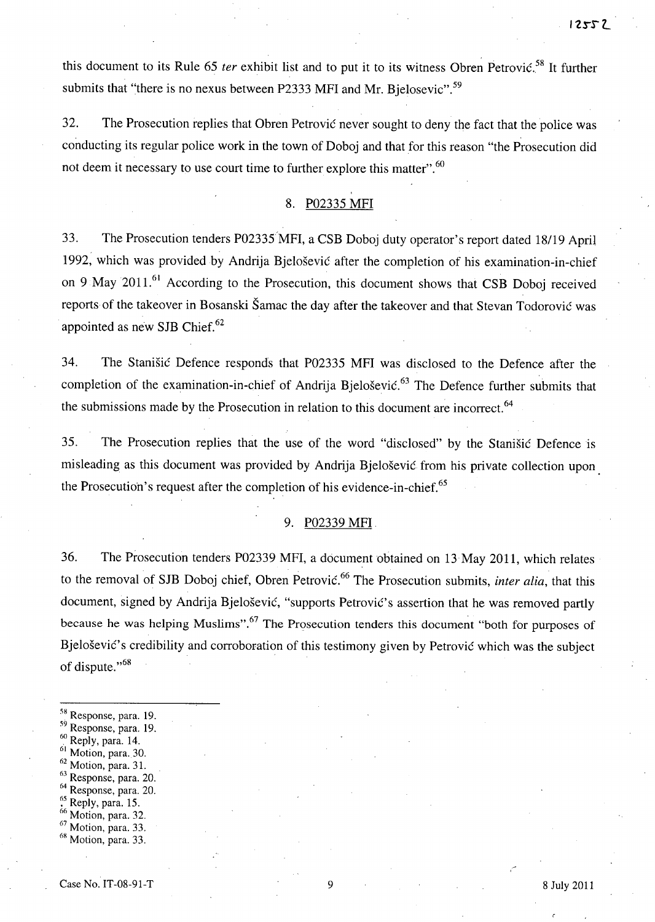this document to its Rule 65 *ter* exhibit list and to put it to its witness Obren Petrovic.<sup>58</sup> It further submits that "there is no nexus between P2333 MFI and Mr. Bjelosevic".<sup>59</sup>

32. The Prosecution replies that Obren Petrovic never sought to deny the fact that the police was conducting its regular police work in the town of Doboj and that for this reason "the Prosecution did not deem it necessary to use court time to further explore this matter".<sup>60</sup>

# 8. P02335 MFI

33. The Prosecution tenders P02335'MFI, a CSB Doboj duty operator's report dated 18/19 April 1992, which was provided by Andrija Bjelosevic after the completion of his examination-in-chief on 9 May 2011.<sup>61</sup> According to the Prosecution, this document shows that CSB Doboj received reports of the takeover in Bosanski Samac the day after the takeover and that Stevan Todorovic was appointed as new SJB Chief.<sup>62</sup>

34. The Stanisic Defence responds that P02335 MFI was disclosed to the Defence after the completion of the examination-in-chief of Andrija Bjelošević.<sup>63</sup> The Defence further submits that the submissions made by the Prosecution in relation to this document are incorrect.<sup>64</sup>

35. The Prosecution replies that the use of the word "disclosed" by the Stanisic Defence is misleading as this document was provided by Andrija Bjelosevic from his private collection upon the Prosecution's request after the completion of his evidence-in-chief.<sup>65</sup>

## 9. P02339 MFI.

36. The Prosecution tenders P02339 MFI, a document obtained on 13 May 2011, which relates to the removal of SJB Doboj chief, Obren Petrović.<sup>66</sup> The Prosecution submits, *inter alia*, that this document, signed by Andrija Bjelošević, "supports Petrović's assertion that he was removed partly because he was helping Muslims".<sup>67</sup> The Prosecution tenders this document "both for purposes of Bjelošević's credibility and corroboration of this testimony given by Petrović which was the subject of dispute."<sup>68</sup>

- 59 Response, para. 19.
- $60$  Reply, para. 14.
- $<sup>61</sup>$  Motion, para. 30.</sup>
- <sup>62</sup> Motion, para. 31.
- 63 Response, para. 20.
- Response, para. 20.
- $^{65}_{66}$  Reply, para. 15.<br> $^{66}_{66}$  Motion, para. 32.
- 
- $67$  Motion, para. 33.
- $68$  Motion, para. 33.

<sup>&</sup>lt;sup>58</sup> Response, para. 19.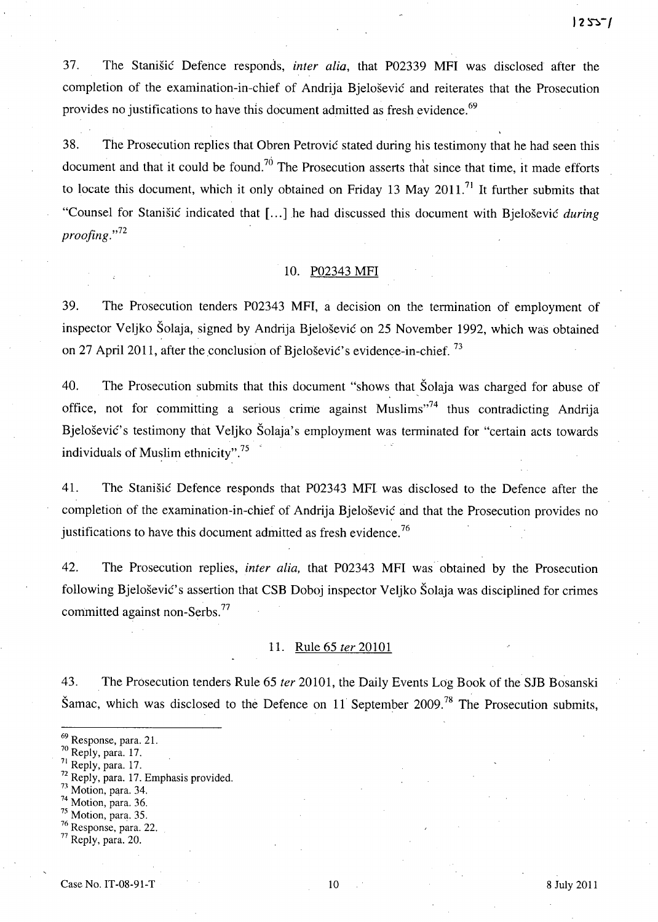37. The Stanisic Defence responds, *inter alia,* that P02339 MFI was disclosed after the completion of the examination-in-chief of Andrija Bjelosevic and reiterates that the Prosecution provides no justifications to have this document admitted as fresh evidence.<sup>69</sup>

38. The Prosecution replies that Obren Petrovic stated during his testimony that he had seen this document and that it could be found.<sup>70</sup> The Prosecution asserts that since that time, it made efforts to locate this document, which it only obtained on Friday 13 May 2011.<sup>71</sup> It further submits that "Counsel for Stanisic indicated that [ ... ] .he had discussed this document with Bjelosevic *during proofing.*"<sup>72</sup>

#### 10. P02343 MFI

39. The Prosecution tenders P02343 MFI, a decision on the termination of employment of inspector Veljko Solaja, signed by Andrija Bjelosevic on 25 November 1992, which was obtained on 27 April 2011, after the conclusion of Bjelošević's evidence-in-chief.  $^{73}$ 

40. The Prosecution submits that this document "shows that Solaja was charged for abuse of office, not for committing a serious crime against Muslims"<sup>74</sup> thus contradicting Andrija Bjelošević's testimony that Veljko Šolaja's employment was terminated for "certain acts towards" individuals of Muslim ethnicity".<sup>75</sup>

41. The Stanisic Defence responds that P02343 MFl was disclosed to the Defence after the completion of the examination-in-chief of Andrija Bjelosevic and that the Prosecution provides no justifications to have this document admitted as fresh evidence.<sup>76</sup>

42. The Prosecution replies, *inter alia,* that P02343 MFI was' obtained by the Prosecution following Bjelošević's assertion that CSB Doboj inspector Veljko Šolaja was disciplined for crimes committed against non-Serbs.<sup>77</sup>

#### 11. Rule 65 *ter 20101*

43. The Prosecution tenders Rule 65 *ter* 20101, the Daily Events Log Book of the SJB Bosanski Šamac, which was disclosed to the Defence on 11 September  $2009$ .<sup>78</sup> The Prosecution submits,

- $72$  Reply, para. 17. Emphasis provided.
- 73 Motion, para. 34.
- 
- $7<sup>74</sup>$  Motion, para. 36.<br> $7<sup>5</sup>$  Motion, para. 35.
- $76$  Response, para. 22.

<sup>69</sup> Response, para. 21.

<sup>&</sup>lt;sup>70</sup> Reply, para. 17.

Reply, para. 17.

<sup>77</sup> Reply, para. 20.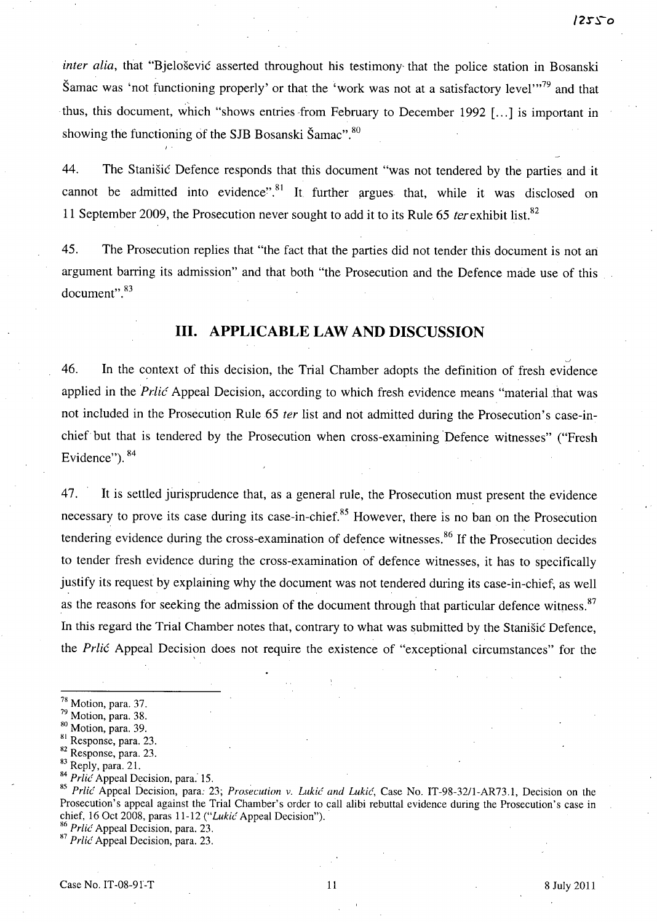*inter alia*, that "Bjelošević asserted throughout his testimony that the police station in Bosanski Samac was 'not functioning properly' or that the 'work was not at a satisfactory level'"<sup>79</sup> and that thus, this document, which "shows entries from February to December 1992 [...] is important in showing the functioning of the SJB Bosanski Šamac".<sup>80</sup>

44. The Stanisic Defence responds that this document "was not tendered by the parties and it cannot be admitted into evidence".<sup>81</sup> It further argues that, while it was disclosed on 11 September 2009, the Prosecution never sought to add it to its Rule 65 ter exhibit list.<sup>82</sup>

45. The Prosecution replies that "the fact that the parties did not tender this document is not an argument barring its admission" and that both "the Prosecution and the Defence made use of this document".<sup>83</sup>

# **Ill. APPLICABLE LAW AND DISCUSSION**

46. In the context of this decision, the Trial Chamber adopts the definition of fresh evidence applied in the *Prlic* Appeal Decision, according to which fresh evidence means "material that was not included in the Prosecution Rule 65 *ter* list and not admitted during the Prosecution's case-inchief but that is tendered by the Prosecution when cross-examining 'Defence witnesses" ("Fresh Evidence").  $84$ 

47. It is settled jurisprudence that, as a general rule, the Prosecution must present the evidence necessary to prove its case during its case-in-chief.<sup>85</sup> However, there is no ban on the Prosecution tendering evidence during the cross-examination of defence witnesses.<sup>86</sup> If the Prosecution decides to tender fresh evidence during the cross-examination of defence witnesses, it has to specifically justify its request by explaining why the document was not tendered during its case-in-chief, as well as the reasons for seeking the admission of the document through that particular defence witness.<sup>87</sup> In this regard the Trial Chamber notes that, contrary to what was submitted by the Stanisic Defence, the *Prlic* Appeal Decision does not require the existence of "exceptional circumstances" for the

*85 Prlic* Appeal Decision, para: 23; *Prosecution* v. *Lukic and Lukic,* Case No. IT-98-32/l-AR73.l, Decision on the Prosecution's appeal against the Trial Chamber's order to call alibi rebuttal evidence during the Prosecution's case in chief, 16 Oct 2008, paras 11-12 *("Lukic* Appeal Decision") ..

<sup>86</sup> Prlic Appeal Decision, para. 23.

*87 Prlic* Appeal Decision, para. 23.

<sup>78</sup> Motion, para. 37.

<sup>79</sup> Motion, para. 38.

<sup>80</sup> Motion, para. 39.

<sup>&</sup>lt;sup>81</sup> Response, para. 23.

<sup>82</sup> Response, para. 23.

<sup>&</sup>lt;sup>83</sup> Reply, para. 21.

<sup>&</sup>lt;sup>84</sup> Prlic Appeal Decision, para. 15.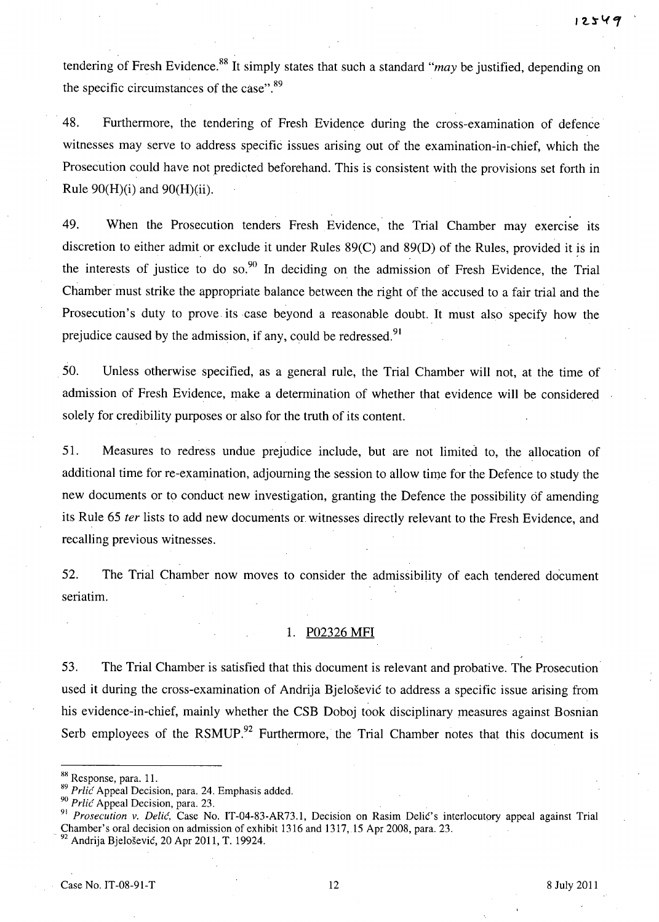tendering of Fresh Evidence.<sup>88</sup> It simply states that such a standard "*may* be justified, depending on the specific circumstances of the case".<sup>89</sup>

48. Furthermore, the tendering of Fresh Evidence during the cross-examination of defence witnesses may serve to address specific issues arising out of the examination-in-chief, which the Prosecution could have not predicted beforehand. This is consistent with the provisions set forth in Rule  $90(H)(i)$  and  $90(H)(ii)$ .

49. When the Prosecution tenders Fresh Evidence, the Trial Chamber may exercise its discretion to either admit or exclude it under Rules  $89(C)$  and  $89(D)$  of the Rules, provided it is in the interests of justice to do so. $90$  In deciding on the admission of Fresh Evidence, the Trial Chamber must strike the appropriate balance between the right of the accused to a fair trial and the Prosecution's duty to prove its case beyond a reasonable doubt. It must also specify how the prejudice caused by the admission, if any, could be redressed.<sup>91</sup>

50. Unless otherwise specified, as a general rule, the Trial Chamber will not, at the time of admission of Fresh Evidence, make a determination of whether that evidence will be considered solely for credibility purposes or also for the truth of its content.

51. Measures to redress undue prejudice include, but are not limited to, the allocation of additional time for re-examination, adjourning the session to allow time for the Defence to study the new documents or to conduct new investigation, granting the Defence the possibility of amending its Rule 65 fer lists to add new documents or witnesses directly relevant to the Fresh Evidence, and recalling previous witnesses.

52. The Trial Chamber now moves to consider the admissibility of each tendered document seriatim.

# 1. P02326 MFI

53. The Trial Chamber is satisfied that this document is relevant and probative. The Prosecution used it during the cross-examination of Andrija Bjelosevic to address a specific issue arising from his evidence-in-chief, mainly whether the CSB Doboj took disciplinary measures against Bosnian Serb employees of the RSMUP. $92$  Furthermore, the Trial Chamber notes that this document is

<sup>88</sup> Response, para. 11.

<sup>&</sup>lt;sup>89</sup> Prlic Appeal Decision, para. 24. Emphasis added.

<sup>&</sup>lt;sup>90</sup> Prlic Appeal Decision, para. 23.

<sup>&</sup>lt;sup>91</sup> Prosecution v. Delić, Case No. IT-04-83-AR73.1, Decision on Rasim Delić's interlocutory appeal against Trial Chamber's oral decision on admission of exhibit 1316 and 1317,15 Apr 2008, para. 23.

<sup>&#</sup>x27;. 92 Andrija Bjelosevic, 20 Apr 2011, T. 19924.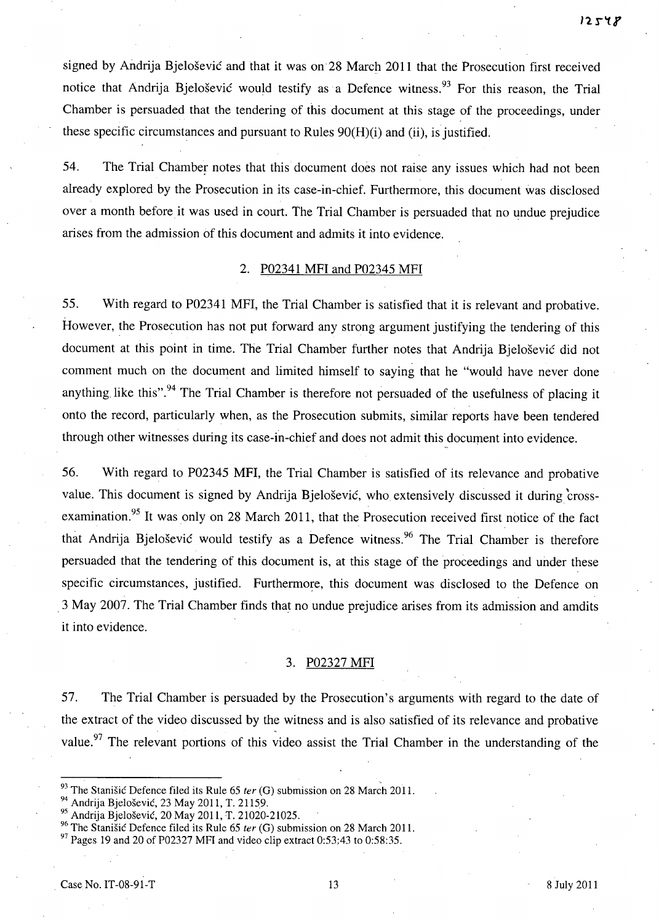signed by Andrija Bjelošević and that it was on 28 March 2011 that the Prosecution first received notice that Andrija Bjelošević would testify as a Defence witness.<sup>93</sup> For this reason, the Trial Chamber is persuaded that the tendering of this document at this stage of the proceedings, under these specific circumstances and pursuant to Rules 90(H)(i) and (ii), is justified.

54. The Trial Chamber notes that this document does not raise any issues which had not been already explored by the Prosecution in its case-in-chief. Furthermore, this document was disclosed over a month before it was used in court. The Trial Chamber is persuaded that no undue prejudice arises from the admission of this document and admits it into evidence.

#### 2. P02341 MFI and P02345 MFI

55. With regard to P02341 MFI, the Trial Chamber is satisfied that it is relevant and probative. However, the Prosecution has not put forward any strong argument justifying the tendering of this document at this point in time. The Trial Chamber further notes that Andrija Bjelošević did not comment much on the document and limited himself to saying that he "would have never done anything like this".<sup>94</sup> The Trial Chamber is therefore not persuaded of the usefulness of placing it onto the record, particularly when, as the Prosecution submits, similar reports have been tendered through other witnesses during its case-in-chief and does not admit this document into evidence.

56. With regard to P02345 MFI, the Trial Chamber is satisfied of its relevance and probative value. This document is signed by Andrija Bjelosevic, who extensively discussed it during 'crossexamination.<sup>95</sup> It was only on 28 March 2011, that the Prosecution received first notice of the fact that Andrija Bjelošević would testify as a Defence witness.<sup>96</sup> The Trial Chamber is therefore persuaded that the tendering of this document is, at this stage of the proceedings and under these specific circumstances, justified. Furthermore, this document was disclosed to the Defence on .3 May 2007. The Trial Chamber finds that no undue prejudice arises from its admission and amdits it into evidence.

#### 3. P02327 MFI

57. The Trial Chamber is persuaded by the Prosecution's arguments with regard to the date of the extract of the video discussed by the witness and is also satisfied of its relevance and probative value.<sup>97</sup> The relevant portions of this video assist the Trial Chamber in the understanding of the

<sup>96</sup> The Stanišić Defence filed its Rule 65 ter (G) submission on 28 March 2011.

 $97$  Pages 19 and 20 of P02327 MFI and video clip extract 0:53:43 to 0:58:35.

<sup>&</sup>lt;sup>93</sup> The Stanisic Defence filed its Rule 65 ter (G) submission on 28 March 2011.

<sup>94</sup> Andrija Bjelosevic, 23 May 2011, T. 21159.

<sup>95</sup> Andrija Bjelosevic, 20 May 2011, T. 21020-21025.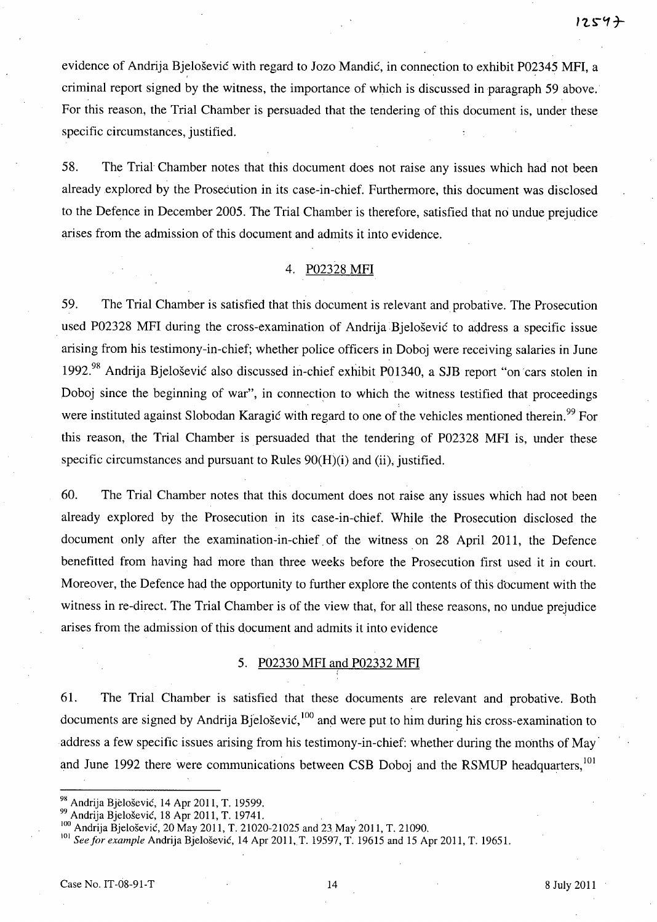evidence of Andrija Bjelošević with regard to Jozo Mandić, in connection to exhibit P02345 MFI, a criminal report signed by the witness, the importance of which is discussed in paragraph 59 above.' For this reason, the Trial Chamber is persuaded that the tendering of this document is, under these specific circumstances, justified.

58. The Trial Chamber notes that this document does not raise any issues which had not been already explored by the Prosecution in its case-in-chief. Furthermore, this document was disclosed to the Defence in December 2005. The Trial Chamber is therefore, satisfied that no undue prejudice arises from the admission of this document and admits it into evidence.

#### 4. P02328 MFI

59. The Trial Chamber is satisfied that this document is relevant and probative. The Prosecution used P02328 MFI during the cross-examination of Andrija Bjelošević to address a specific issue arising from his testimony-in-chief; whether police officers in Doboj were receiving salaries in June 1992.98 Andrija Bjelosevic also discussed in-chief exhibit P01340, a SJB report "on 'cars stolen in Doboj since the beginning of war", in connection to which the witness testified that proceedings were instituted against Slobodan Karagic with regard to one of the vehicles mentioned therein.<sup>99</sup> For this reason, the Trial Chamber is persuaded that the tendering of P02328 MFI is, under these specific circumstances and pursuant to Rules  $90(H)(i)$  and (ii), justified.

60. The Trial Chamber notes that this document does not raise any issues which had not been already explored by the Prosecution in its case-in-chief. While the Prosecution disclosed the document only after the examination-in-chief, of the witness on 28 April 2011, the Defence benefitted from having had more than three weeks before the Prosecution first used it in court. Moreover, the Defence had the opportunity to further explore the contents of this document with the witness in re-direct. The Trial Chamber is of the view that, for all these reasons, no undue prejudice arises from the admission of this document and admits it into evidence

# 5. P02330 MFI and P02332 MFI

61. The Trial Chamber is satisfied that these documents are relevant and probative. Both documents are signed by Andrija Bjelošević,  $100$  and were put to him during his cross-examination to address a few specific issues arising from his testimony-in-chief: whether during the months of May and June 1992 there were communications between CSB Doboj and the RSMUP headquarters,<sup>101</sup>

<sup>101</sup> See for example Andrija Bjelošević, 14 Apr 2011, T. 19597, T. 19615 and 15 Apr 2011, T. 19651.

<sup>&</sup>lt;sup>98</sup> Andrija Bjelošević, 14 Apr 2011, T. 19599.

<sup>98&</sup>lt;br>99 Andrija Bjelošević, 14 Apr 2011, T. 19599.<br><sup>99</sup> Andrija Bjelošević, 18 Apr 2011, T. 19741.<br><sup>100</sup> Andrija Bjelošević, 20 May 2011, T. 21020-21025 and 23 May 2011, T. 21090.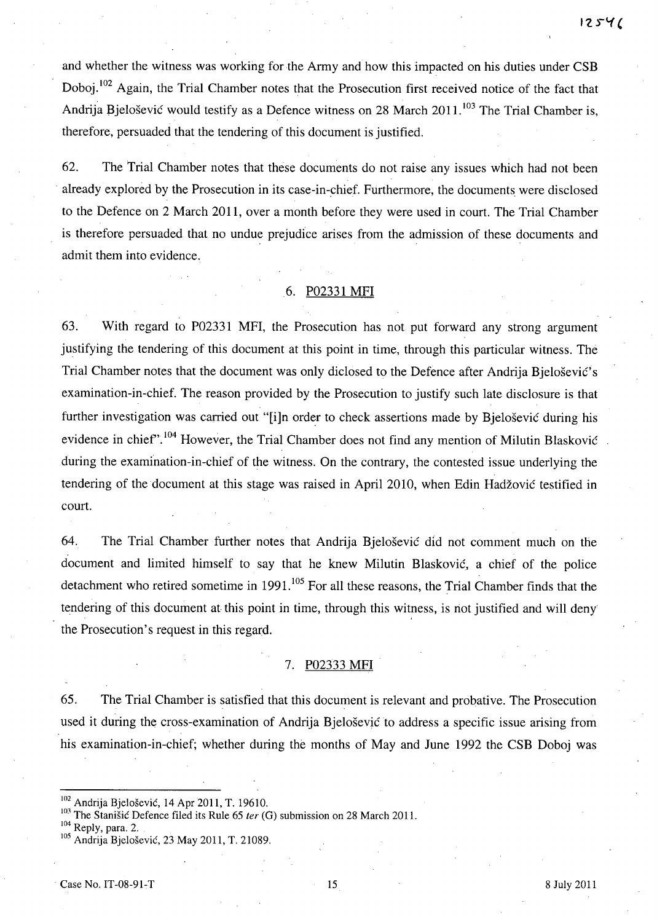and whether the witness was working for the Army and how this impacted on his duties under CSB Doboj.<sup>102</sup> Again, the Trial Chamber notes that the Prosecution first received notice of the fact that Andrija Bjelošević would testify as a Defence witness on 28 March 2011.<sup>103</sup> The Trial Chamber is, therefore, persuaded that the tendering of this document is justified.

62. The Trial Chamber notes that these documents do not raise any issues which had not been already explored by the Prosecution in its case-in-chief. Furthermore, the documents were disclosed to the Defence on 2 March 2011, over a month before they were used in court. The Trial Chamber is therefore persuaded that no undue prejudice arises from the admission of these documents and admit them into evidence.

## 6. P02331 MFI

63. With regard to P02331 MFI, the Prosecution has not put forward any strong argument justifying the tendering of this document at this point in time, through this particular witness. The Trial Chamber notes that the document was only diclosed to the Defence after Andrija Bjelošević's examination-in-chief. The reason provided by the Prosecution to justify such late disclosure is that further investigation was carried out "[i]n order to check assertions made by Bjelosevic during his evidence in chief".<sup>104</sup> However, the Trial Chamber does not find any mention of Milutin Blasković during the examination-in-chief of the witness. On the contrary, the contested issue underlying the tendering of the document at this stage was raised in April 2010, when Edin Hadzovic testified in court.

64. The Trial Chamber further notes that Andrija Bjelosevic did not comment much on the document and limited himself to say that he knew Milutin Blaskovic, a chief of the police detachment who retired sometime in 1991.<sup>105</sup> For all these reasons, the Trial Chamber finds that the tendering of this document at this point in time, through this witness, is not justified and will deny the Prosecution's request in this regard.

### 7. P02333 MFI

65. The Trial Chamber is satisfied that this document is relevant and probative. The Prosecution used it during the cross-examination of Andrija Bjelosevic to address a specific issue arising from his examination-in-chief; whether during the months of May and June 1992 the CSB Doboj was

<sup>&</sup>lt;sup>102</sup> Andrija Bjelošević, 14 Apr 2011, T. 19610.

<sup>&</sup>lt;sup>103</sup> The Stanišic Defence filed its Rule 65 ter (G) submission on 28 March 2011.

<sup>104</sup> Reply, para. 2.

<sup>&</sup>lt;sup>105</sup> Andrija Bjelošević, 23 May 2011, T. 21089.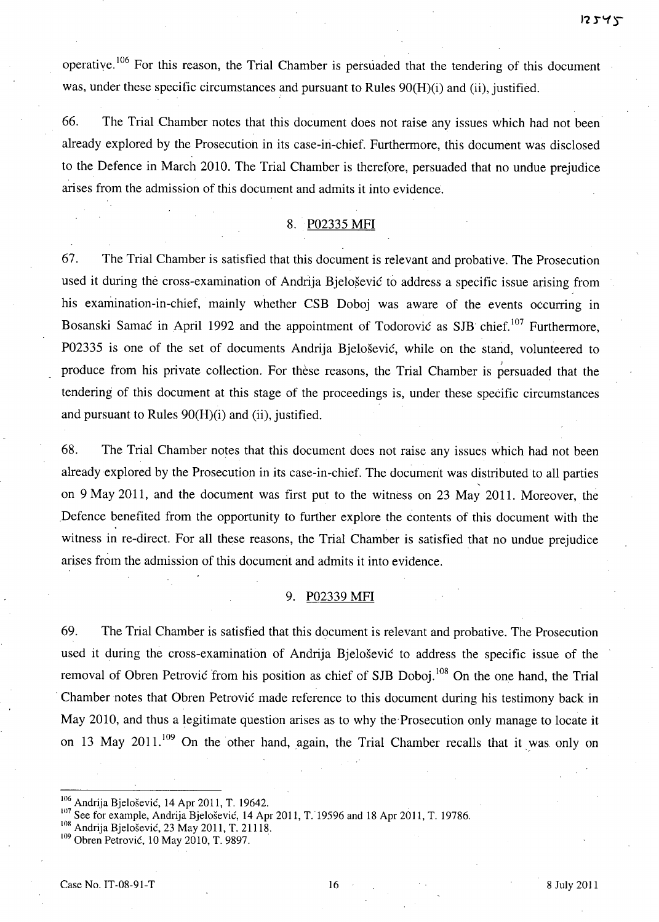operative. 106 For this reason, the Trial Chamber is persuaded that the tendering of this document was, under these specific circumstances and pursuant to Rules 90(H)(i) and (ii), justified.

66. The Trial Chamber notes that this document does not raise any issues which had not been already explored by the Prosecution in its case-in-chief. Furthermore, this document was disclosed to the Defence in March 2010. The Trial Chamber is therefore, persuaded that no undue prejudice arises from the admission of this document and admits it into evidence.

## 8. P02335 MFI

67. The Trial Chamber is satisfied that this document is relevant and probative. The Prosecution used it during the cross-examination of Andrija Bjelošević to address a specific issue arising from his examination-in-chief, mainly whether CSB Doboj was aware of the events occurring in Bosanski Samac in April 1992 and the appointment of Todorovic as SJB chief.<sup>107</sup> Furthermore, P02335 is one of the set of documents Andrija Bjelosevic, while on the stand, volunteered to produce from his private collection. For thèse reasons, the Trial Chamber is persuaded that the tendering of this document at this stage of the proceedings is, under these specific circumstances and pursuant to Rules 90(H)(i) and (ii), justified.

68. The Trial Chamber notes that this document does not raise any issues which had not been already explored by the Prosecution in its case-in-chief. The document was distributed to all parties on 9 May 2011, and the document was first put to the witness on 23 May 2011. Moreover, the Defence benefited from the opportunity to further explore the contents of this document with the witness in re-direct. For all these reasons, the Trial Chamber is satisfied that no undue prejudice arises from the admission of this document and admits it into evidence.

## 9. P02339 MFI

69. The Trial Chamber is satisfied that this document is relevant and probative. The Prosecution used it during the cross-examination of Andrija Bjelosevic to address the specific issue of the removal of Obren Petrovic from his position as chief of SJB Doboj.<sup>108</sup> On the one hand, the Trial . Chamber notes that Obren Petrovic made reference to this document during his testimony back in May 2010, and thus a legitimate question arises as to why the Prosecution only manage to locate it on 13 May 2011.<sup>109</sup> On the other hand, again, the Trial Chamber recalls that it was only on

 $\frac{100}{2}$  Andrija Bjelošević, 14 Apr 2011, T. 19642.

 $\frac{107}{100}$  See for example, Andrija Bjelošević, 14 Apr 2011, T. 19596 and 18 Apr 2011, T. 19786.

 $\frac{100}{10}$  Andrija Bjelošević, 23 May 2011, T. 21118.

<sup>&</sup>lt;sup>109</sup> Obren Petrović, 10 May 2010, T. 9897.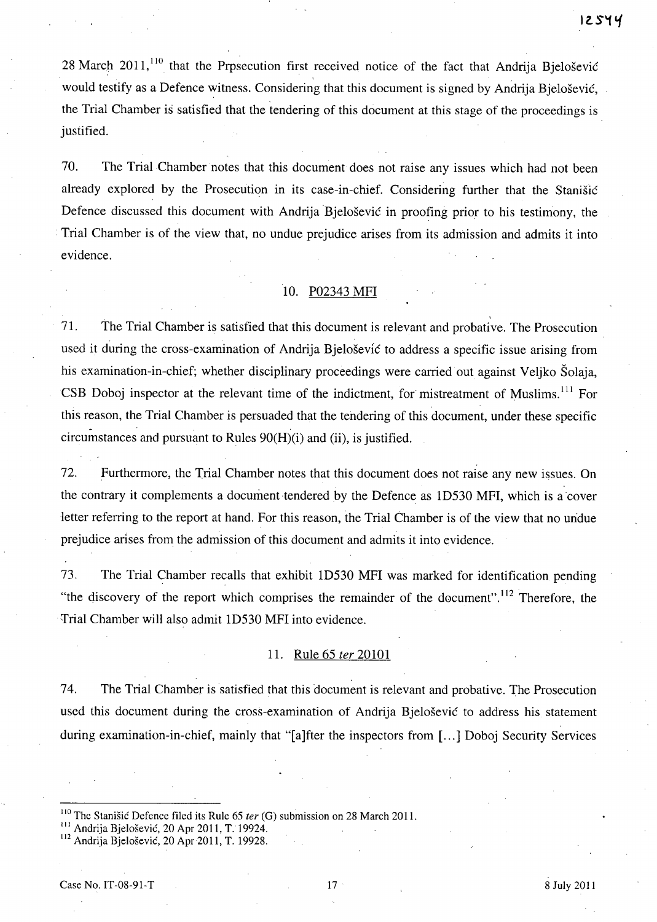28 March 2011, $^{110}$  that the Prpsecution first received notice of the fact that Andrija Bjelošević would testify as a Defence witness. Considering that this document is signed by Andrija Bjelošević, the Trial Chamber is satisfied that the tendering of this document at this stage of the proceedings is justified.

70. The Trial Chamber notes that this document does not raise any issues which had not been already explored by the Prosecution in its case-in-chief. Considering further that the Stanisic Defence discussed this document with Andrija Bjelošević in proofing prior to his testimony, the Trial Chamber is of the view that, no undue prejudice arises from its admission and admits it into evidence.

# 10. P02343 MFI

,

71. The Trial Chamber is satisfied that this document is relevant and probative. The Prosecution used it during the cross-examination of Andrija Bjelošević to address a specific issue arising from his examination-in-chief; whether disciplinary proceedings were carried out against Veljko Solaja, CSB Doboj inspector at the relevant time of the indictment, for mistreatment of Muslims.<sup>111</sup> For this reason, the Trial Chamber is persuaded that the tendering of this document, under these specific circumstances and pursuant to Rules 90(H)(i) and (ii), is justified.

72. Furthermore, the Trial Chamber notes that this document does not raise any new issues. On the contrary it complements a document tendered by the Defence as ID530 MFI, which is a cover letter referring to the report at hand. For this reason, the Trial Chamber is of the view that no un'due prejudice arises from the admission of this document and admits it into evidence.

73. The Trial Chamber recalls that exhibit ID530 MFI was marked for identification pending "the discovery of the report which comprises the remainder of the document".<sup>112</sup> Therefore, the Trial Chamber will also admit 1D530 MFI into evidence.

#### 11. Rule 65 fer 20101

74. The Trial Chamber is satisfied that this document is relevant and probative. The Prosecution used this document during the cross-examination of Andrija Bjelosevic to address his statement during examination-in-chief, mainly that "[a]fter the inspectors from [...] Doboj Security Services

<sup>&</sup>lt;sup>110</sup> The Stanišić Defence filed its Rule 65 *ter* (G) submission on 28 March 2011.

<sup>&</sup>lt;sup>III</sup> Andrija Bjelošević, 20 Apr 2011, T. 19924.

<sup>&</sup>lt;sup>112</sup> Andrija Bjelošević, 20 Apr 2011, T. 19928.